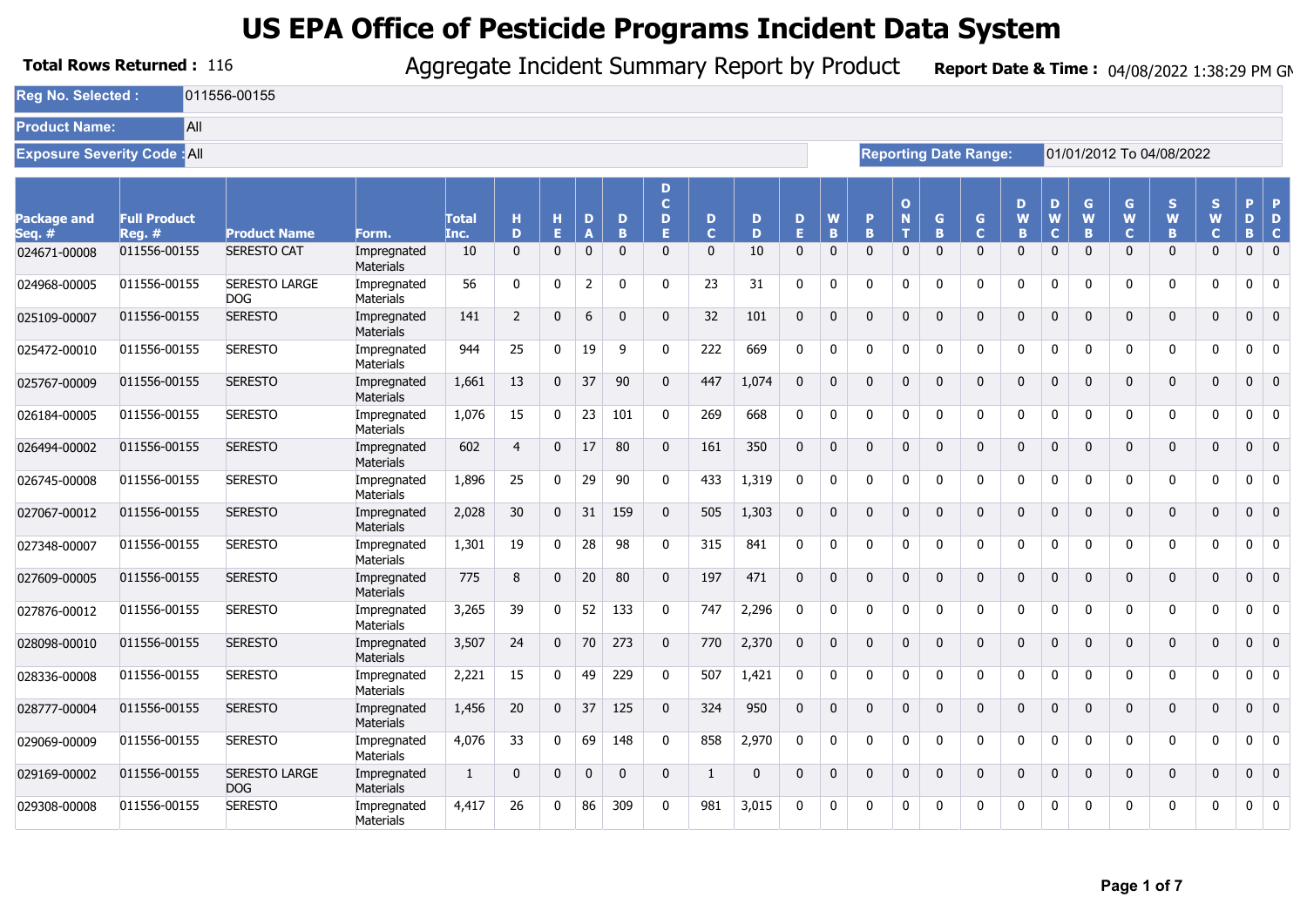|                                | <b>Total Rows Returned: 116</b>    |                                    |                                 | Aggregate Incident Summary Report by Product |                |              |              |              |                             |                  |              |              |              |              |                        |              |                              |              |                       |              |                       | Report Date & Time: 04/08/2022 1:38:29 PM GM |                        |               |                   |
|--------------------------------|------------------------------------|------------------------------------|---------------------------------|----------------------------------------------|----------------|--------------|--------------|--------------|-----------------------------|------------------|--------------|--------------|--------------|--------------|------------------------|--------------|------------------------------|--------------|-----------------------|--------------|-----------------------|----------------------------------------------|------------------------|---------------|-------------------|
| <b>Rea No. Selected:</b>       |                                    | 011556-00155                       |                                 |                                              |                |              |              |              |                             |                  |              |              |              |              |                        |              |                              |              |                       |              |                       |                                              |                        |               |                   |
| <b>Product Name:</b>           | All                                |                                    |                                 |                                              |                |              |              |              |                             |                  |              |              |              |              |                        |              |                              |              |                       |              |                       |                                              |                        |               |                   |
|                                | <b>Exposure Severity Code: All</b> |                                    |                                 |                                              |                |              |              |              |                             |                  |              |              |              |              |                        |              | <b>Reporting Date Range:</b> |              |                       |              |                       | 01/01/2012 To 04/08/2022                     |                        |               |                   |
| <b>Package and</b><br>Seq. $#$ | <b>Full Product</b><br>$Rea.$ #    | <b>Product Name</b>                | Form.                           | <b>Total</b><br>Inc.                         | н<br>D         | н<br>E.      | D<br>Δ       | D<br>B       | D<br>$\mathbf{C}$<br>D<br>я | D<br>$\mathbf C$ | D<br>D       | D<br>E.      | W<br>B       | P<br>B.      | $\mathbf{o}$<br>N<br>т | G<br>R       | $\mathsf{G}$<br>$\mathbf C$  | D<br>W<br>B  | D<br>W<br>$\mathbf C$ | G<br>W<br>B  | G<br>W<br>$\mathbf C$ | S.<br>W<br>B.                                | S<br>W<br>$\mathbf{C}$ | P.<br>D<br>B. | D<br>$\mathbf{C}$ |
| 024671-00008                   | 011556-00155                       | <b>SERESTO CAT</b>                 | Impregnated<br><b>Materials</b> | 10                                           | $\mathbf 0$    | 0            | $\mathbf 0$  | $\mathbf 0$  | $\mathbf{0}$                | $\mathbf 0$      | 10           | $\mathbf 0$  | $\Omega$     | $\Omega$     | $\mathbf{0}$           | $\mathbf 0$  | $\mathbf 0$                  | 0            | 0                     | $\mathbf 0$  | $\mathbf{0}$          | $\mathbf{0}$                                 | $\mathbf{0}$           | $\mathbf{0}$  | $\mathbf 0$       |
| 024968-00005                   | 011556-00155                       | <b>SERESTO LARGE</b><br><b>DOG</b> | Impregnated<br><b>Materials</b> | 56                                           | 0              | 0            | 2            | $\mathbf{0}$ | $\Omega$                    | 23               | 31           | 0            | $\Omega$     | $\Omega$     | $\Omega$               | 0            | $\mathbf 0$                  | $\mathbf{0}$ | 0                     | 0            | n                     | 0                                            | 0                      | 0             | 0                 |
| 025109-00007                   | 011556-00155                       | <b>SERESTO</b>                     | Impregnated<br><b>Materials</b> | 141                                          | $\overline{2}$ | 0            | 6            | $\mathbf 0$  | $\mathbf{0}$                | 32               | 101          | $\mathbf 0$  | $\Omega$     | $\mathbf 0$  | $\mathbf{0}$           | $\mathbf 0$  | $\mathbf 0$                  | $\mathbf 0$  | $\mathbf 0$           | $\mathbf 0$  | $\mathbf{0}$          | $\mathbf 0$                                  | $\mathbf{0}$           | $\mathbf{0}$  | $\mathbf 0$       |
| 025472-00010                   | 011556-00155                       | <b>SERESTO</b>                     | Impregnated<br>Materials        | 944                                          | 25             | 0            | 19           | 9            | 0                           | 222              | 669          | $\mathbf 0$  | $\Omega$     | 0            | 0                      | 0            | 0                            | $\mathbf{0}$ | 0                     | 0            | $\Omega$              | 0                                            | 0                      | 0             | $\mathbf 0$       |
| 025767-00009                   | 011556-00155                       | <b>SERESTO</b>                     | Impregnated<br>Materials        | 1,661                                        | 13             | $\mathbf 0$  | 37           | 90           | $\mathbf{0}$                | 447              | 1.074        | $\Omega$     | $\Omega$     | $\mathbf{0}$ | $\mathbf{0}$           | $\mathbf{0}$ | $\mathbf 0$                  | $\mathbf{0}$ | $\mathbf 0$           | $\mathbf{0}$ | $\Omega$              | $\mathbf{0}$                                 | $\mathbf{0}$           | $\mathbf{0}$  | $\mathbf{0}$      |
| 026184-00005                   | 011556-00155                       | <b>SERESTO</b>                     | Impregnated<br><b>Materials</b> | 1,076                                        | 15             | 0            | 23           | 101          | $\mathbf{0}$                | 269              | 668          | 0            | $\Omega$     | $\Omega$     | $\Omega$               | $\Omega$     | $\mathbf 0$                  | $\mathbf{0}$ | $\mathbf 0$           | 0            | $\Omega$              | 0                                            | $\Omega$               | $\mathbf{0}$  | $\mathbf 0$       |
| 026494-00002                   | 011556-00155                       | <b>SERESTO</b>                     | Impregnated<br><b>Materials</b> | 602                                          | $\overline{4}$ | 0            | 17           | 80           | $\mathbf{0}$                | 161              | 350          | $\mathbf{0}$ | $\Omega$     | $\Omega$     | $\Omega$               | $\mathbf{0}$ | $\mathbf 0$                  | $\mathbf{0}$ | 0                     | $\mathbf 0$  | $\Omega$              | $\mathbf 0$                                  | $\Omega$               | $\mathbf{0}$  | $\mathbf 0$       |
| 026745-00008                   | 011556-00155                       | <b>SERESTO</b>                     | Impregnated<br><b>Materials</b> | 1,896                                        | 25             | 0            | 29           | 90           | $\Omega$                    | 433              | 1,319        | $\Omega$     | $\Omega$     | $\Omega$     | $\Omega$               | $\Omega$     | 0                            | $\mathbf{0}$ | 0                     | 0            | U                     | $\mathbf{0}$                                 | $\Omega$               | 0             | 0                 |
| 027067-00012                   | 011556-00155                       | <b>SERESTO</b>                     | Impregnated<br><b>Materials</b> | 2,028                                        | 30             | $\mathbf{0}$ | 31           | 159          | $\Omega$                    | 505              | 1,303        | $\mathbf{0}$ | $\Omega$     | $\Omega$     | $\Omega$               | $\mathbf{0}$ | $\mathbf{0}$                 | $\mathbf{0}$ | $\mathbf 0$           | $\mathbf{0}$ | $\Omega$              | $\mathbf 0$                                  | 0                      | $\mathbf{0}$  | $\mathbf 0$       |
| 027348-00007                   | 011556-00155                       | <b>SERESTO</b>                     | Impregnated<br>Materials        | 1,301                                        | 19             | 0            | 28           | 98           | $\mathbf{0}$                | 315              | 841          | $\mathbf 0$  | $\mathbf 0$  | $\mathbf 0$  | $\mathbf{0}$           | $\mathbf 0$  | $\mathbf 0$                  | 0            | 0                     | 0            | $\Omega$              | $\mathbf 0$                                  | $\mathbf 0$            | $\mathbf 0$   | $\mathbf 0$       |
| 027609-00005                   | 011556-00155                       | <b>SERESTO</b>                     | Impregnated<br>Materials        | 775                                          | 8              | 0            | 20           | 80           | $\Omega$                    | 197              | 471          | $\mathbf 0$  | $\Omega$     | $\Omega$     | $\Omega$               | $\mathbf{0}$ | $\mathbf 0$                  | $\Omega$     | 0                     | 0            | $\Omega$              | $\mathbf{0}$                                 | $\mathbf 0$            | $\mathbf 0$   | $\mathbf 0$       |
| 027876-00012                   | 011556-00155                       | <b>SERESTO</b>                     | Impregnated<br><b>Materials</b> | 3,265                                        | 39             | 0            | 52           | 133          | 0                           | 747              | 2,296        | $\mathbf{0}$ | $\Omega$     | $\Omega$     | 0                      | 0            | 0                            | 0            | 0                     | 0            | 0                     | 0                                            | $\mathbf{0}$           | $\mathbf 0$   | 0                 |
| 028098-00010                   | 011556-00155                       | <b>SERESTO</b>                     | Impregnated<br>Materials        | 3,507                                        | 24             | $\mathbf 0$  | 70           | 273          | $\Omega$                    | 770              | 2,370        | $\Omega$     | $\Omega$     | $\Omega$     | $\Omega$               | $\Omega$     | $\mathbf{0}$                 | $\mathbf{0}$ | $\mathbf 0$           | $\mathbf{0}$ | $\Omega$              | $\mathbf 0$                                  | $\mathbf{0}$           | $\mathbf{0}$  | $\mathbf 0$       |
| 028336-00008                   | 011556-00155                       | <b>SERESTO</b>                     | Impregnated<br><b>Materials</b> | 2,221                                        | 15             | 0            | 49           | 229          | $\mathbf{0}$                | 507              | 1,421        | $\mathbf 0$  | $\Omega$     | $\Omega$     | $\Omega$               | 0            | $\mathbf 0$                  | $\mathbf{0}$ | 0                     | 0            | ŋ                     | 0                                            | $\Omega$               | 0             | 0                 |
| 028777-00004                   | 011556-00155                       | <b>SERESTO</b>                     | Impregnated<br>Materials        | 1,456                                        | 20             | $\mathbf 0$  | 37           | 125          | $\Omega$                    | 324              | 950          | $\Omega$     | $\Omega$     | $\Omega$     | $\Omega$               | $\mathbf{0}$ | $\mathbf 0$                  | $\mathbf{0}$ | $\mathbf 0$           | $\mathbf{0}$ | $\Omega$              | $\mathbf 0$                                  | $\mathbf{0}$           | $\mathbf{0}$  | $\mathbf{0}$      |
| 029069-00009                   | 011556-00155                       | <b>SERESTO</b>                     | Impregnated<br><b>Materials</b> | 4,076                                        | 33             | 0            | 69           | 148          | 0                           | 858              | 2,970        | $\mathbf 0$  | $\Omega$     | $\Omega$     | $\Omega$               | $\mathbf{0}$ | $\mathbf 0$                  | $\mathbf{0}$ | 0                     | 0            | n                     | 0                                            | $\mathbf{0}$           | 0             | $\mathbf 0$       |
| 029169-00002                   | 011556-00155                       | <b>SERESTO LARGE</b><br>DOG        | Impregnated<br>Materials        | $\mathbf{1}$                                 | $\mathbf 0$    | 0            | $\mathbf{0}$ | $\mathbf 0$  | $\mathbf{0}$                | 1                | $\mathbf{0}$ | $\mathbf{0}$ | $\mathbf{0}$ | 0            | $\mathbf{0}$           | $\mathbf 0$  | $\mathbf 0$                  | $\mathbf 0$  | $\mathbf 0$           | 0            | $\Omega$              | $\mathbf 0$                                  | $\mathbf 0$            | $\mathbf 0$   | $\mathbf 0$       |
| 029308-00008                   | 011556-00155                       | <b>SERESTO</b>                     | Impregnated<br>Materials        | 4,417                                        | 26             | $\mathbf{0}$ | 86           | 309          | $\Omega$                    | 981              | 3,015        | $\Omega$     | $\Omega$     | $\Omega$     | $\Omega$               | 0            | $\mathbf{0}$                 | $\Omega$     | $\mathbf{0}$          | 0            | $\Omega$              | 0                                            | 0                      | 0             | 0                 |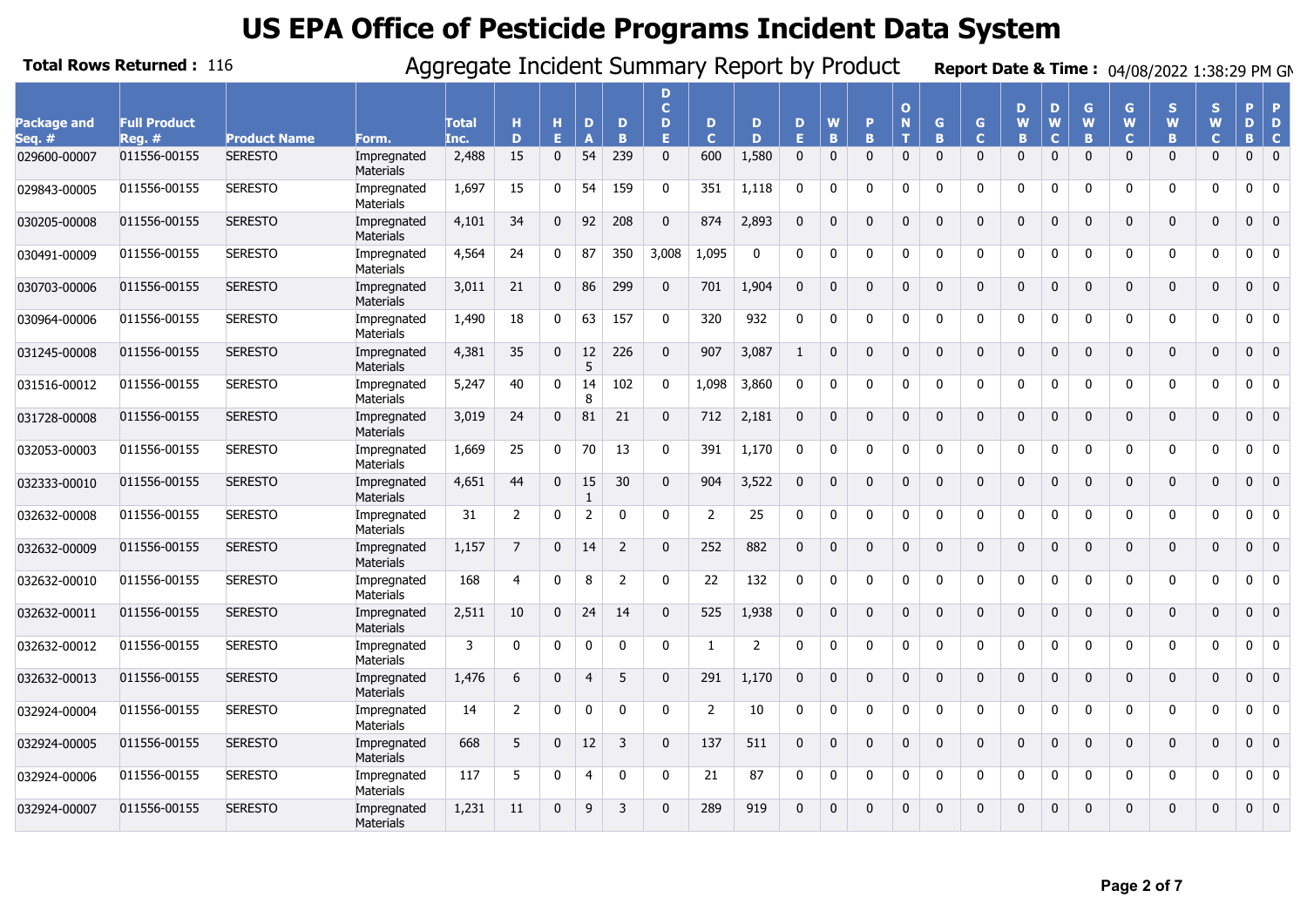|                       | <b>Total Rows Returned: 116</b> |                     |                                 | Aggregate Incident Summary Report by Product |                |              |                   |                |                              |                  |             |              |               |              |                               |              |                              |                    |                       |              |                        | Report Date & Time: 04/08/2022 1:38:29 PM GM |                         |              |                               |
|-----------------------|---------------------------------|---------------------|---------------------------------|----------------------------------------------|----------------|--------------|-------------------|----------------|------------------------------|------------------|-------------|--------------|---------------|--------------|-------------------------------|--------------|------------------------------|--------------------|-----------------------|--------------|------------------------|----------------------------------------------|-------------------------|--------------|-------------------------------|
| Package and<br>Sea. # | <b>Full Product</b><br>$Reg.$ # | <b>Product Name</b> | Form.                           | <b>Total</b><br>Inc.                         | н<br>D         | н<br>Е       | D<br>$\mathbf{A}$ | D<br>B         | D<br>$\mathbf{C}$<br>D<br>F. | D<br>$\mathbf C$ | D<br>D      | D<br>E.      | W<br><b>B</b> | P<br>B.      | $\Omega$<br>$\mathbf N$<br>T. | G.<br>B      | $\mathbf{G}$<br>$\mathbf{C}$ | D<br>W<br><b>B</b> | D<br>W<br>$\mathbf C$ | G<br>W<br>B  | G<br>W<br>$\mathbf{C}$ | S<br>W<br>B                                  | S.<br>W<br>$\mathbf{C}$ | Þ<br>D<br>B. | <b>P</b><br>D<br>$\mathbf{C}$ |
| 029600-00007          | 011556-00155                    | <b>SERESTO</b>      | Impregnated<br>Materials        | 2,488                                        | 15             | $\mathbf 0$  | 54                | 239            | $\mathbf{0}$                 | 600              | 1,580       | $\mathbf{0}$ | $\mathbf{0}$  | $\mathbf{0}$ | $\mathbf{0}$                  | $\mathbf{0}$ | $\mathbf{0}$                 | $\mathbf{0}$       | $\Omega$              | $\Omega$     | $\mathbf{0}$           | $\mathbf{0}$                                 | $\mathbf{0}$            | $\mathbf 0$  | $\overline{0}$                |
| 029843-00005          | 011556-00155                    | <b>SERESTO</b>      | Impregnated<br>Materials        | 1,697                                        | 15             | $\mathbf{0}$ | 54                | 159            | $\Omega$                     | 351              | 1,118       | $\Omega$     | $\mathbf{0}$  | $\Omega$     | $\Omega$                      | $\Omega$     | $\mathbf{0}$                 | $\Omega$           | $\Omega$              | $\mathbf{0}$ | 0                      | 0                                            | $\Omega$                | 0            | $\overline{0}$                |
| 030205-00008          | 011556-00155                    | <b>SERESTO</b>      | Impregnated<br>Materials        | 4,101                                        | 34             | $\mathbf{0}$ | 92                | 208            | $\Omega$                     | 874              | 2,893       | $\Omega$     | $\mathbf{0}$  | $\Omega$     | 0                             | $\mathbf{0}$ | $\mathbf 0$                  | $\Omega$           | $\Omega$              | $\Omega$     | $\mathbf{0}$           | $\mathbf 0$                                  | $\mathbf{0}$            | $\mathbf{0}$ | $\overline{0}$                |
| 030491-00009          | 011556-00155                    | <b>SERESTO</b>      | Impregnated<br>Materials        | 4,564                                        | 24             | $\mathbf 0$  | 87                | 350            | 3,008                        | 1,095            | $\mathbf 0$ | $\Omega$     | $\Omega$      | $\Omega$     | $\mathbf{0}$                  | $\Omega$     | 0                            | $\Omega$           | $\Omega$              | $\Omega$     | $\mathbf{0}$           | 0                                            | 0                       | 0            | $\overline{\mathbf{0}}$       |
| 030703-00006          | 011556-00155                    | <b>SERESTO</b>      | Impregnated<br><b>Materials</b> | 3,011                                        | 21             | $\mathbf{0}$ | 86                | 299            | $\Omega$                     | 701              | 1,904       | $\mathbf 0$  | $\mathbf{0}$  | 0            | 0                             | $\mathbf{0}$ | $\mathbf 0$                  | $\mathbf 0$        | $\mathbf{0}$          | $\mathbf{0}$ | 0                      | $\mathbf 0$                                  | 0                       | 0            | $\overline{0}$                |
| 030964-00006          | 011556-00155                    | <b>SERESTO</b>      | Impregnated<br><b>Materials</b> | 1,490                                        | 18             | 0            | 63                | 157            | $\Omega$                     | 320              | 932         | $\mathbf 0$  | $\mathbf 0$   | $\mathbf{0}$ | 0                             | $\mathbf{0}$ | 0                            | $\mathbf{0}$       | $\mathbf 0$           | $\Omega$     | 0                      | 0                                            | $\mathbf{0}$            | 0            | $\overline{\mathbf{0}}$       |
| 031245-00008          | 011556-00155                    | <b>SERESTO</b>      | Impregnated<br>Materials        | 4,381                                        | 35             | $\mathbf 0$  | 12<br>5           | 226            | $\Omega$                     | 907              | 3.087       | -1           | $\Omega$      | $\mathbf{0}$ | $\mathbf{0}$                  | $\mathbf{0}$ | $\mathbf{0}$                 | $\mathbf{0}$       | $\Omega$              | $\Omega$     | $\mathbf{0}$           | $\mathbf 0$                                  | $\mathbf 0$             | $\mathbf{0}$ | $\overline{0}$                |
| 031516-00012          | 011556-00155                    | <b>SERESTO</b>      | Impregnated<br>Materials        | 5,247                                        | 40             | $\mathbf{0}$ | 14<br>8           | 102            | $\mathbf{0}$                 | 1,098            | 3,860       | $\mathbf{0}$ | 0             | $\mathbf{0}$ | $\mathbf 0$                   | $\mathbf{0}$ | 0                            | $\mathbf{0}$       | $\mathbf 0$           | 0            | 0                      | 0                                            | 0                       | 0            | $\overline{0}$                |
| 031728-00008          | 011556-00155                    | <b>SERESTO</b>      | Impregnated<br>Materials        | 3,019                                        | 24             | $\mathbf 0$  | 81                | 21             | $\Omega$                     | 712              | 2,181       | $\Omega$     | $\Omega$      | $\Omega$     | $\Omega$                      | $\Omega$     | $\mathbf 0$                  | $\Omega$           | $\Omega$              | $\Omega$     | $\Omega$               | $\mathbf 0$                                  | $\Omega$                | $\mathbf{0}$ | $\overline{\mathbf{0}}$       |
| 032053-00003          | 011556-00155                    | <b>SERESTO</b>      | Impregnated<br>Materials        | 1,669                                        | 25             | $\mathbf{0}$ | 70                | 13             | $\Omega$                     | 391              | 1,170       | $\Omega$     | $\Omega$      | 0            | 0                             | $\Omega$     | 0                            | $\Omega$           | $\Omega$              | $\Omega$     | 0                      | 0                                            | 0                       | 0            | $\overline{\mathbf{0}}$       |
| 032333-00010          | 011556-00155                    | <b>SERESTO</b>      | Impregnated<br><b>Materials</b> | 4,651                                        | 44             | $\Omega$     | 15<br>1           | 30             | $\Omega$                     | 904              | 3,522       | $\Omega$     | $\Omega$      | $\Omega$     | $\mathbf{0}$                  | $\mathbf{0}$ | $\mathbf 0$                  | $\Omega$           | $\Omega$              | $\Omega$     | $\mathbf{0}$           | $\mathbf 0$                                  | $\mathbf{0}$            | $\mathbf{0}$ | $\overline{0}$                |
| 032632-00008          | 011556-00155                    | <b>SERESTO</b>      | Impregnated<br>Materials        | 31                                           | $\overline{2}$ | 0            | $\overline{2}$    | $\Omega$       | $\Omega$                     | 2                | 25          | 0            | $\mathbf 0$   | $\Omega$     | 0                             | $\mathbf{0}$ | 0                            | 0                  | 0                     | 0            | 0                      | 0                                            | 0                       | 0            | $\mathbf 0$                   |
| 032632-00009          | 011556-00155                    | <b>SERESTO</b>      | Impregnated<br><b>Materials</b> | 1,157                                        | $\overline{7}$ | $\Omega$     | 14                | $\overline{z}$ | $\Omega$                     | 252              | 882         | $\mathbf 0$  | $\mathbf 0$   | $\Omega$     | $\mathbf 0$                   | $\Omega$     | 0                            | $\mathbf 0$        | $\Omega$              | $\Omega$     | $\mathbf 0$            | 0                                            | $\mathbf 0$             | 0            | $\overline{\mathbf{0}}$       |
| 032632-00010          | 011556-00155                    | <b>SERESTO</b>      | Impregnated<br>Materials        | 168                                          | 4              | $\mathbf{0}$ | 8                 | 2              | $\Omega$                     | 22               | 132         | $\Omega$     | 0             | 0            | $\mathbf{0}$                  | $\mathbf{0}$ | 0                            | 0                  | $\Omega$              | $\Omega$     | 0                      | 0                                            | $\mathbf{0}$            | 0            | $\overline{\mathbf{0}}$       |
| 032632-00011          | 011556-00155                    | <b>SERESTO</b>      | Impregnated<br><b>Materials</b> | 2,511                                        | 10             | $\mathbf{0}$ | 24                | 14             | $\mathbf{0}$                 | 525              | 1,938       | $\Omega$     | $\mathbf{0}$  | $\mathbf{0}$ | $\mathbf 0$                   | $\mathbf{0}$ | $\mathbf{0}$                 | $\mathbf{0}$       | $\Omega$              | $\Omega$     | $\mathbf 0$            | $\mathbf 0$                                  | $\mathbf 0$             | $\mathbf{0}$ | $\overline{0}$                |
| 032632-00012          | 011556-00155                    | <b>SERESTO</b>      | Impregnated<br>Materials        | 3                                            | $\mathbf 0$    | $\mathbf{0}$ | $\Omega$          | 0              | $\Omega$                     | 1                | 2           | $\Omega$     | $\Omega$      | $\mathbf{0}$ | $\mathbf{0}$                  | $\Omega$     | 0                            | $\mathbf{0}$       | $\mathbf 0$           | $\Omega$     | 0                      | 0                                            | $\mathbf{0}$            | 0            | $\overline{\mathbf{0}}$       |
| 032632-00013          | 011556-00155                    | <b>SERESTO</b>      | Impregnated<br>Materials        | 1,476                                        | 6              | $\Omega$     | $\overline{4}$    | 5              | <sup>n</sup>                 | 291              | 1,170       | $\Omega$     | $\Omega$      | $\mathbf{0}$ | 0                             | $\Omega$     | 0                            | $\Omega$           | $\Omega$              | $\Omega$     | $\mathbf{0}$           | $\mathbf 0$                                  | $\Omega$                | 0            | $\overline{\mathbf{0}}$       |
| 032924-00004          | 011556-00155                    | <b>SERESTO</b>      | Impregnated<br>Materials        | 14                                           | $\overline{2}$ | $\mathbf{0}$ | $\Omega$          | $\Omega$       | $\Omega$                     | $\overline{2}$   | 10          | $\Omega$     | 0             | 0            | $\mathbf{0}$                  | $\Omega$     | 0                            | $\Omega$           | $\Omega$              | $\Omega$     | $\mathbf{0}$           | 0                                            | 0                       | 0            | $\overline{0}$                |
| 032924-00005          | 011556-00155                    | <b>SERESTO</b>      | Impregnated<br><b>Materials</b> | 668                                          | 5              | $\mathbf{0}$ | 12                | 3              | $\Omega$                     | 137              | 511         | $\Omega$     | $\mathbf{0}$  | $\Omega$     | 0                             | $\Omega$     | $\mathbf 0$                  | $\mathbf{0}$       | $\Omega$              | $\Omega$     | $\mathbf{0}$           | $\mathbf 0$                                  | 0                       | $\mathbf{0}$ | $\overline{0}$                |
| 032924-00006          | 011556-00155                    | <b>SERESTO</b>      | Impregnated<br><b>Materials</b> | 117                                          | 5              | 0            | $\overline{4}$    | $\mathbf{0}$   | $\Omega$                     | 21               | 87          | 0            | 0             | 0            | 0                             | 0            | 0                            | 0                  | 0                     | $\mathbf 0$  | 0                      | 0                                            | 0                       | 0            | $\bf{0}$                      |
| 032924-00007          | 011556-00155                    | <b>SERESTO</b>      | Impregnated<br>Materials        | 1,231                                        | 11             | $\Omega$     | q                 | 3              | <sup>n</sup>                 | 289              | 919         | $\Omega$     | $\Omega$      | $\Omega$     | $\mathbf{0}$                  | $\Omega$     | $\mathbf{0}$                 | $\Omega$           | $\Omega$              | $\Omega$     | $\Omega$               | $\mathbf{0}$                                 | 0                       | $\mathbf{0}$ | $\overline{0}$                |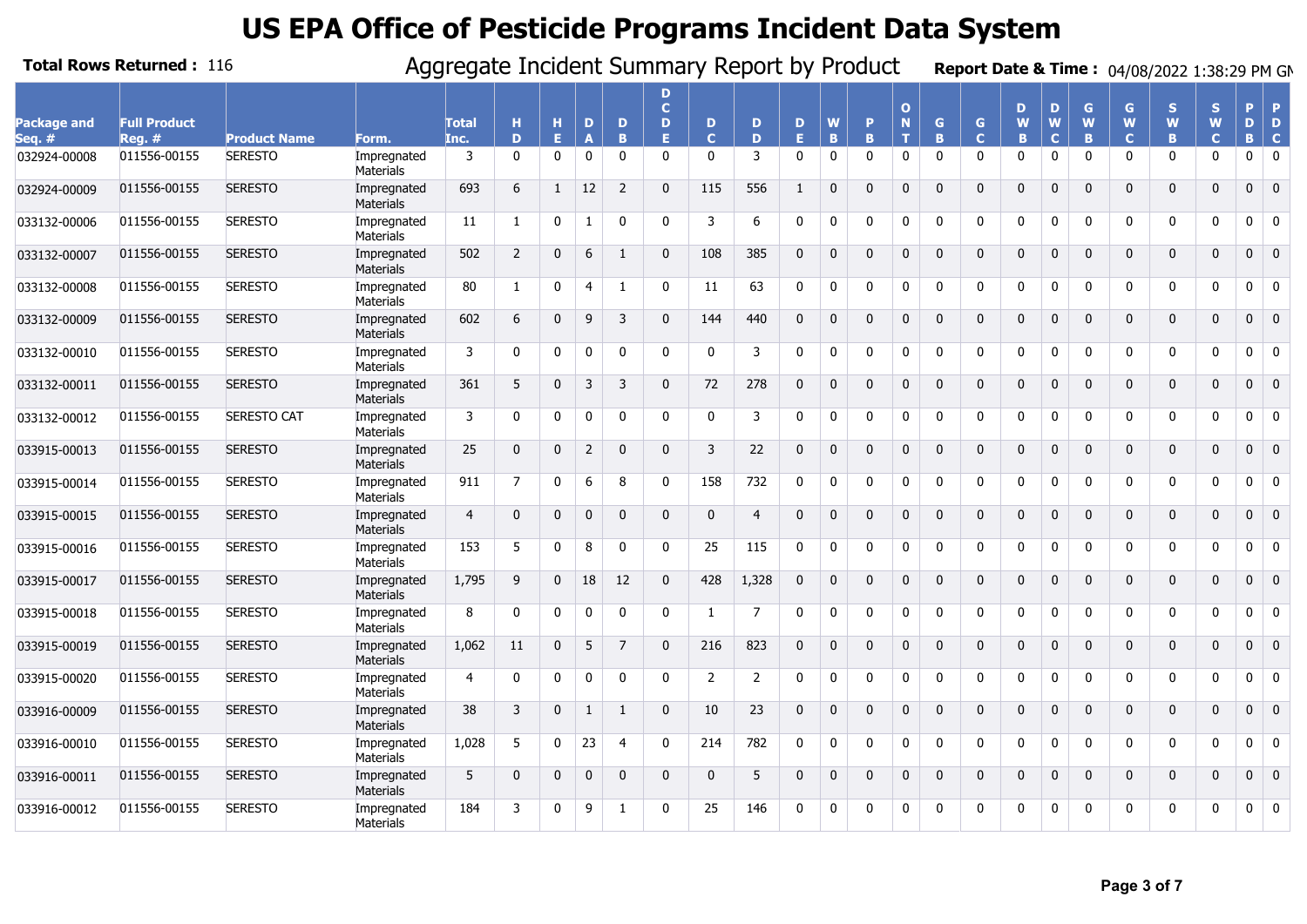|                       | <b>Total Rows Returned: 116</b> |                     |                                 | Aggregate Incident Summary Report by Product |                |              |                |                |                              |                   |                |              |              |              |                                  |              |                              |              |                       |              |                        | Report Date & Time: 04/08/2022 1:38:29 PM GM |                        |              |                                           |
|-----------------------|---------------------------------|---------------------|---------------------------------|----------------------------------------------|----------------|--------------|----------------|----------------|------------------------------|-------------------|----------------|--------------|--------------|--------------|----------------------------------|--------------|------------------------------|--------------|-----------------------|--------------|------------------------|----------------------------------------------|------------------------|--------------|-------------------------------------------|
| Package and<br>Sea. # | <b>Full Product</b><br>$Req.$ # | <b>Product Name</b> | Form.                           | <b>Total</b><br>Inc.                         | н<br>D         | н<br>Е       | D              | D<br>B         | D<br>$\mathbf{C}$<br>D<br>E. | D<br>$\mathbf{C}$ | D<br>D         | D<br>E.      | W<br>B       | P<br>B.      | $\mathbf{o}$<br>$\mathbf N$<br>т | G<br>B       | $\mathsf{G}$<br>$\mathbf{C}$ | D<br>W<br>B  | D<br>W<br>$\mathbf C$ | G<br>W<br>B  | G<br>W<br>$\mathbf{C}$ | S<br>W<br>B                                  | S<br>W<br>$\mathbf{C}$ | Þ<br>D<br>B. | <b>P</b><br>D<br>$\mathbf{C}$             |
| 032924-00008          | 011556-00155                    | <b>SERESTO</b>      | Impregnated<br><b>Materials</b> | 3                                            | $\mathbf{0}$   | $\mathbf 0$  | $\mathbf 0$    | 0              | $\mathbf{0}$                 | 0                 | 3              | $\mathbf{0}$ | $\mathbf 0$  | $\mathbf{0}$ | $\mathbf 0$                      | $\mathbf{0}$ | $\mathbf 0$                  | $\mathbf{0}$ | 0                     | $\mathbf{0}$ | 0                      | 0                                            | 0                      | 0            | $\overline{0}$                            |
| 032924-00009          | 011556-00155                    | <b>SERESTO</b>      | Impregnated<br>Materials        | 693                                          | 6              | $\mathbf{1}$ | 12             | 2              | $\Omega$                     | 115               | 556            | $\mathbf{1}$ | $\Omega$     | $\Omega$     | $\Omega$                         | $\Omega$     | $\mathbf 0$                  | $\Omega$     | $\Omega$              | $\Omega$     | $\mathbf{0}$           | $\mathbf{0}$                                 | $\mathbf{0}$           | $\mathbf{0}$ | $\overline{0}$                            |
| 033132-00006          | 011556-00155                    | <b>SERESTO</b>      | Impregnated<br>Materials        | 11                                           | $\mathbf{1}$   | $\mathbf{0}$ | $\mathbf{1}$   | $\Omega$       | $\Omega$                     | 3                 | 6              | $\Omega$     | $\mathbf 0$  | 0            | 0                                | $\Omega$     | 0                            | $\Omega$     | $\Omega$              | $\Omega$     | 0                      | 0                                            | 0                      | 0            | $\mathbf 0$                               |
| 033132-00007          | 011556-00155                    | <b>SERESTO</b>      | Impregnated<br>Materials        | 502                                          | $\overline{2}$ | $\Omega$     | 6              | $\mathbf{1}$   | $\Omega$                     | 108               | 385            | $\Omega$     | $\Omega$     | $\Omega$     | $\mathbf{0}$                     | $\Omega$     | $\mathbf{0}$                 | $\Omega$     | $\Omega$              | $\Omega$     | $\mathbf{0}$           | $\mathbf{0}$                                 | $\mathbf{0}$           | $\mathbf 0$  | $\overline{0}$                            |
| 033132-00008          | 011556-00155                    | <b>SERESTO</b>      | Impregnated<br><b>Materials</b> | 80                                           | 1              | $\mathbf 0$  | $\overline{4}$ | $\mathbf{1}$   | $\mathbf{0}$                 | 11                | 63             | $\mathbf 0$  | $\mathbf 0$  | $\mathbf{0}$ | $\mathbf 0$                      | $\mathbf{0}$ | 0                            | 0            | $\mathbf 0$           | $\mathbf 0$  | 0                      | 0                                            | 0                      | 0            | $\mathbf 0$                               |
| 033132-00009          | 011556-00155                    | <b>SERESTO</b>      | Impregnated<br><b>Materials</b> | 602                                          | 6              | $\mathbf 0$  | 9              | 3              | $\Omega$                     | 144               | 440            | $\mathbf 0$  | $\mathbf{0}$ | $\mathbf{0}$ | $\mathbf 0$                      | $\mathbf{0}$ | $\mathbf 0$                  | $\mathbf 0$  | $\mathbf{0}$          | $\mathbf{0}$ | $\mathbf 0$            | $\mathbf{0}$                                 | $\mathbf 0$            | 0            | $\overline{0}$                            |
| 033132-00010          | 011556-00155                    | <b>SERESTO</b>      | Impregnated<br>Materials        | 3                                            | 0              | 0            | $\Omega$       | $\Omega$       | $\Omega$                     | 0                 | 3              | $\Omega$     | $\Omega$     | 0            | 0                                | $\Omega$     | 0                            | $\Omega$     | $\Omega$              | $\Omega$     | 0                      | 0                                            | 0                      | 0            | $\overline{\mathbf{0}}$                   |
| 033132-00011          | 011556-00155                    | <b>SERESTO</b>      | Impregnated<br><b>Materials</b> | 361                                          | 5              | $\mathbf{0}$ | 3              | 3              | $\Omega$                     | 72                | 278            | $\Omega$     | $\Omega$     | $\mathbf{0}$ | $\mathbf 0$                      | $\mathbf{0}$ | $\mathbf{0}$                 | $\mathbf{0}$ | $\Omega$              | $\Omega$     | $\mathbf{0}$           | $\mathbf{0}$                                 | $\mathbf{0}$           | $\mathbf{0}$ | $\overline{0}$                            |
| 033132-00012          | 011556-00155                    | <b>SERESTO CAT</b>  | Impregnated<br>Materials        | 3                                            | $\mathbf{0}$   | $\mathbf{0}$ | $\Omega$       | $\Omega$       | $\Omega$                     | $\mathbf{0}$      | 3              | $\Omega$     | $\Omega$     | $\Omega$     | $\mathbf{0}$                     | $\Omega$     | $\mathbf{0}$                 | $\Omega$     | $\Omega$              | $\Omega$     | $\mathbf{0}$           | $\mathbf{0}$                                 | $\Omega$               | 0            | $\mathbf 0$                               |
| 033915-00013          | 011556-00155                    | <b>SERESTO</b>      | Impregnated<br>Materials        | 25                                           | $\mathbf 0$    | $\mathbf 0$  | 2              | $\Omega$       | $\Omega$                     | 3                 | 22             | $\Omega$     | $\mathbf{0}$ | $\Omega$     | 0                                | $\mathbf 0$  | $\mathbf 0$                  | $\Omega$     | $\Omega$              | $\Omega$     | 0                      | $\mathbf 0$                                  | 0                      | $\mathbf{0}$ | $\overline{0}$                            |
| 033915-00014          | 011556-00155                    | <b>SERESTO</b>      | Impregnated<br>Materials        | 911                                          | 7              | $\mathbf 0$  | 6              | 8              | <sup>n</sup>                 | 158               | 732            | $\mathbf 0$  | $\mathbf 0$  | $\Omega$     | 0                                | $\Omega$     | 0                            | $\Omega$     | $\Omega$              | $\Omega$     | 0                      | 0                                            | 0                      | 0            | $\overline{0}$                            |
| 033915-00015          | 011556-00155                    | <b>SERESTO</b>      | Impregnated<br><b>Materials</b> | $\overline{4}$                               | $\mathbf 0$    | 0            | $\Omega$       | $\Omega$       | $\Omega$                     | 0                 | $\overline{4}$ | $\Omega$     | $\mathbf{0}$ | $\Omega$     | $\mathbf{0}$                     | $\mathbf{0}$ | $\mathbf{0}$                 | $\mathbf{0}$ | $\Omega$              | $\Omega$     | $\mathbf{0}$           | 0                                            | $\mathbf{0}$           | 0            | $\begin{array}{ c c } \hline \end{array}$ |
| 033915-00016          | 011556-00155                    | <b>SERESTO</b>      | Impregnated<br>Materials        | 153                                          | 5              | $\mathbf 0$  | 8              | 0              | $\Omega$                     | 25                | 115            | $\mathbf 0$  | $\mathbf 0$  | $\mathbf{0}$ | $\mathbf 0$                      | $\mathbf{0}$ | 0                            | $\mathbf{0}$ | $\mathbf 0$           | $\Omega$     | 0                      | 0                                            | 0                      | 0            | $\overline{0}$                            |
| 033915-00017          | 011556-00155                    | <b>SERESTO</b>      | Impregnated<br>Materials        | 1,795                                        | 9              | $\mathbf 0$  | 18             | 12             | $\mathbf{0}$                 | 428               | 1,328          | $\Omega$     | $\Omega$     | $\mathbf{0}$ | $\mathbf{0}$                     | $\mathbf{0}$ | $\mathbf 0$                  | $\mathbf{0}$ | $\Omega$              | $\Omega$     | 0                      | $\mathbf 0$                                  | $\mathbf 0$            | $\mathbf{0}$ | $\overline{0}$                            |
| 033915-00018          | 011556-00155                    | <b>SERESTO</b>      | Impregnated<br>Materials        | 8                                            | $\mathbf 0$    | 0            | $\mathbf{0}$   | 0              | 0                            | $\mathbf{1}$      | $\overline{7}$ | $\mathbf 0$  | 0            | $\mathbf{0}$ | $\mathbf 0$                      | $\mathbf{0}$ | 0                            | $\mathbf{0}$ | $\mathbf 0$           | 0            | 0                      | 0                                            | 0                      | 0            | $\overline{0}$                            |
| 033915-00019          | 011556-00155                    | <b>SERESTO</b>      | Impregnated<br>Materials        | 1,062                                        | 11             | $\Omega$     | 5              | $\overline{7}$ | $\Omega$                     | 216               | 823            | $\Omega$     | $\Omega$     | $\Omega$     | $\Omega$                         | $\Omega$     | $\mathbf 0$                  | $\Omega$     | $\Omega$              | $\Omega$     | $\Omega$               | $\mathbf 0$                                  | $\Omega$               | $\mathbf{0}$ | $\overline{0}$                            |
| 033915-00020          | 011556-00155                    | <b>SERESTO</b>      | Impregnated<br>Materials        | 4                                            | 0              | $\mathbf{0}$ | $\Omega$       | $\mathbf{0}$   | <sup>n</sup>                 | 2                 | 2              | $\Omega$     | $\mathbf 0$  | 0            | 0                                | $\Omega$     | 0                            | $\Omega$     | $\Omega$              | $\Omega$     | 0                      | 0                                            | 0                      | 0            | $\overline{\mathbf{0}}$                   |
| 033916-00009          | 011556-00155                    | <b>SERESTO</b>      | Impregnated<br><b>Materials</b> | 38                                           | 3              | $\mathbf{0}$ | $\mathbf{1}$   | $\mathbf{1}$   | $\mathbf{0}$                 | 10                | 23             | $\Omega$     | $\Omega$     | $\Omega$     | $\Omega$                         | $\mathbf{0}$ | $\mathbf 0$                  | $\Omega$     | $\Omega$              | $\Omega$     | $\mathbf{0}$           | $\mathbf{0}$                                 | $\mathbf{0}$           | $\mathbf{0}$ | $\overline{0}$                            |
| 033916-00010          | 011556-00155                    | <b>SERESTO</b>      | Impregnated<br>Materials        | 1,028                                        | 5              | $\mathbf{0}$ | 23             | $\overline{4}$ | $\Omega$                     | 214               | 782            | $\mathbf 0$  | $\mathbf 0$  | $\mathbf{0}$ | 0                                | $\mathbf{0}$ | 0                            | 0            | $\mathbf 0$           | $\Omega$     | 0                      | 0                                            | 0                      | 0            | $\mathbf 0$                               |
| 033916-00011          | 011556-00155                    | <b>SERESTO</b>      | Impregnated<br><b>Materials</b> | 5                                            | $\mathbf 0$    | $\mathbf 0$  | $\mathbf 0$    | $\mathbf{0}$   | $\mathbf{0}$                 | $\mathbf 0$       | 5              | $\mathbf 0$  | $\mathbf 0$  | $\mathbf{0}$ | $\mathbf 0$                      | $\mathbf{0}$ | 0                            | $\mathbf 0$  | $\mathbf{0}$          | $\mathbf{0}$ | $\mathbf 0$            | 0                                            | $\mathbf 0$            | $\mathbf 0$  | $\begin{array}{\sqrt{2}} 0 \end{array}$   |
| 033916-00012          | 011556-00155                    | <b>SERESTO</b>      | Impregnated<br>Materials        | 184                                          | 3              | $\mathbf{0}$ | 9              | $\mathbf{1}$   | <sup>n</sup>                 | 25                | 146            | $\Omega$     | $\Omega$     | <sup>0</sup> | $\mathbf{0}$                     | $\Omega$     | 0                            | 0            | $\Omega$              | $\Omega$     | 0                      | 0                                            | $\Omega$               | 0            | $\overline{0}$                            |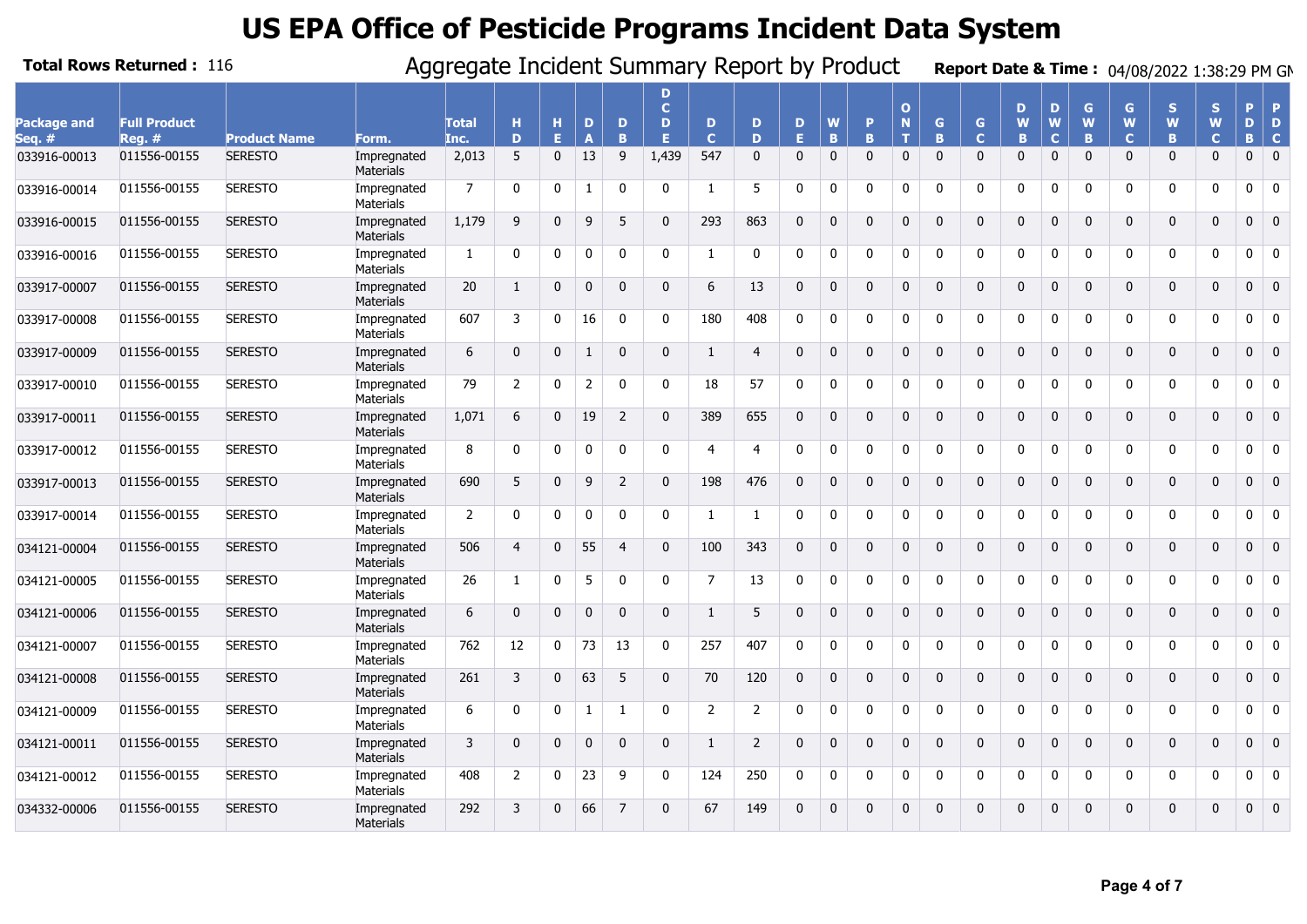|                       | <b>Total Rows Returned: 116</b> |                     |                                 | Aggregate Incident Summary Report by Product |                |              |                   |                          |                              |                  |                |              |              |              |                     |              |                              |                    |                       |              |                        | Report Date & Time: 04/08/2022 1:38:29 PM GM |                         |              |                               |
|-----------------------|---------------------------------|---------------------|---------------------------------|----------------------------------------------|----------------|--------------|-------------------|--------------------------|------------------------------|------------------|----------------|--------------|--------------|--------------|---------------------|--------------|------------------------------|--------------------|-----------------------|--------------|------------------------|----------------------------------------------|-------------------------|--------------|-------------------------------|
| Package and<br>Seq. # | <b>Full Product</b><br>$Reg.$ # | <b>Product Name</b> | Form.                           | <b>Total</b><br>Inc.                         | н<br>D         | н<br>Е       | D<br>$\mathbf{A}$ | D<br>R                   | D<br>$\mathbf{C}$<br>D<br>F. | D<br>$\mathbf C$ | D<br>D         | D<br>E.      | W<br>B       | P<br>B.      | $\Omega$<br>N<br>T. | G.<br>B      | $\mathsf{G}$<br>$\mathbf{C}$ | D<br>W<br><b>B</b> | D<br>W<br>$\mathbf C$ | G<br>W<br>B  | G<br>W<br>$\mathbf{C}$ | S<br>W<br>B                                  | S.<br>W<br>$\mathbf{C}$ | Þ<br>D<br>B. | <b>P</b><br>D<br>$\mathbf{C}$ |
| 033916-00013          | 011556-00155                    | <b>SERESTO</b>      | Impregnated<br>Materials        | 2,013                                        | 5              | $\mathbf 0$  | 13                | 9                        | 1,439                        | 547              | $\mathbf{0}$   | $\mathbf{0}$ | $\mathbf{0}$ | $\mathbf{0}$ | $\mathbf{0}$        | $\mathbf{0}$ | $\mathbf{0}$                 | $\mathbf{0}$       | $\Omega$              | $\Omega$     | $\mathbf{0}$           | $\mathbf{0}$                                 | $\mathbf{0}$            | $\mathbf 0$  | $\overline{0}$                |
| 033916-00014          | 011556-00155                    | <b>SERESTO</b>      | Impregnated<br>Materials        | 7                                            | $\mathbf{0}$   | $\mathbf{0}$ | $\mathbf{1}$      | $\mathbf{0}$             | $\Omega$                     | -1               | 5              | $\Omega$     | $\Omega$     | $\Omega$     | $\mathbf{0}$        | $\Omega$     | $\mathbf{0}$                 | $\Omega$           | $\Omega$              | $\mathbf{0}$ | 0                      | 0                                            | $\Omega$                | 0            | $\overline{0}$                |
| 033916-00015          | 011556-00155                    | <b>SERESTO</b>      | Impregnated<br>Materials        | 1,179                                        | 9              | $\mathbf{0}$ | 9                 | 5                        | $\Omega$                     | 293              | 863            | $\Omega$     | $\mathbf{0}$ | $\Omega$     | 0                   | $\mathbf{0}$ | $\mathbf 0$                  | $\Omega$           | $\Omega$              | $\Omega$     | $\mathbf{0}$           | $\mathbf 0$                                  | $\mathbf{0}$            | $\mathbf{0}$ | $\overline{0}$                |
| 033916-00016          | 011556-00155                    | <b>SERESTO</b>      | Impregnated<br>Materials        | $\mathbf{1}$                                 | 0              | $\mathbf 0$  | $\Omega$          | $\mathbf{0}$             | $\Omega$                     | 1                | 0              | $\mathbf 0$  | $\mathbf 0$  | $\Omega$     | $\mathbf{0}$        | $\Omega$     | 0                            | $\Omega$           | $\Omega$              | $\Omega$     | $\mathbf{0}$           | 0                                            | 0                       | 0            | $\mathbf 0$                   |
| 033917-00007          | 011556-00155                    | <b>SERESTO</b>      | Impregnated<br><b>Materials</b> | 20                                           | $\mathbf{1}$   | $\mathbf{0}$ | $\mathbf{0}$      | $\Omega$                 | $\Omega$                     | 6                | 13             | $\mathbf 0$  | $\mathbf{0}$ | 0            | $\mathbf 0$         | $\mathbf 0$  | $\mathbf 0$                  | $\mathbf 0$        | $\mathbf{0}$          | $\mathbf{0}$ | 0                      | 0                                            | 0                       | 0            | $\overline{\mathbf{0}}$       |
| 033917-00008          | 011556-00155                    | <b>SERESTO</b>      | Impregnated<br><b>Materials</b> | 607                                          | 3              | 0            | 16                | $\Omega$                 | $\Omega$                     | 180              | 408            | $\mathbf 0$  | $\mathbf 0$  | $\mathbf{0}$ | 0                   | $\mathbf{0}$ | 0                            | $\mathbf{0}$       | 0                     | $\Omega$     | 0                      | 0                                            | $\mathbf{0}$            | 0            | $\overline{0}$                |
| 033917-00009          | 011556-00155                    | <b>SERESTO</b>      | Impregnated<br>Materials        | 6                                            | $\mathbf 0$    | $\mathbf 0$  | $\mathbf{1}$      | $\mathbf{0}$             | $\mathbf{0}$                 | $\mathbf{1}$     | $\overline{4}$ | $\Omega$     | $\mathbf{0}$ | $\mathbf{0}$ | $\mathbf 0$         | $\mathbf{0}$ | $\mathbf 0$                  | $\mathbf{0}$       | $\Omega$              | $\Omega$     | $\mathbf{0}$           | $\mathbf 0$                                  | $\mathbf 0$             | $\mathbf{0}$ | $\overline{0}$                |
| 033917-00010          | 011556-00155                    | <b>SERESTO</b>      | Impregnated<br>Materials        | 79                                           | $\overline{2}$ | $\mathbf 0$  | $\overline{2}$    | 0                        | 0                            | 18               | 57             | $\Omega$     | 0            | $\mathbf{0}$ | $\mathbf 0$         | $\mathbf{0}$ | 0                            | $\mathbf{0}$       | $\mathbf 0$           | 0            | 0                      | 0                                            | 0                       | 0            | $\overline{0}$                |
| 033917-00011          | 011556-00155                    | <b>SERESTO</b>      | Impregnated<br>Materials        | 1,071                                        | 6              | $\Omega$     | 19                | $\overline{\phantom{0}}$ | $\Omega$                     | 389              | 655            | $\Omega$     | $\Omega$     | $\Omega$     | $\Omega$            | $\Omega$     | $\mathbf 0$                  | $\Omega$           | $\Omega$              | $\Omega$     | $\Omega$               | $\mathbf 0$                                  | $\Omega$                | $\mathbf{0}$ | $\overline{\mathbf{0}}$       |
| 033917-00012          | 011556-00155                    | <b>SERESTO</b>      | Impregnated<br>Materials        | 8                                            | $\mathbf{0}$   | $\mathbf{0}$ | $\Omega$          | $\Omega$                 | $\Omega$                     | 4                | 4              | $\Omega$     | 0            | 0            | 0                   | $\Omega$     | 0                            | $\Omega$           | $\Omega$              | $\Omega$     | 0                      | 0                                            | 0                       | 0            | $\overline{\mathbf{0}}$       |
| 033917-00013          | 011556-00155                    | <b>SERESTO</b>      | Impregnated<br><b>Materials</b> | 690                                          | 5              | $\Omega$     | 9                 | 2                        | $\Omega$                     | 198              | 476            | $\Omega$     | $\Omega$     | $\Omega$     | $\Omega$            | $\mathbf{0}$ | $\mathbf 0$                  | $\Omega$           | $\Omega$              | $\Omega$     | $\mathbf{0}$           | $\mathbf 0$                                  | $\mathbf{0}$            | $\mathbf{0}$ | $\overline{0}$                |
| 033917-00014          | 011556-00155                    | <b>SERESTO</b>      | Impregnated<br>Materials        | $\overline{2}$                               | 0              | 0            | $\mathbf{0}$      | $\Omega$                 | $\Omega$                     | -1               | 1              | $\mathbf 0$  | $\mathbf 0$  | 0            | 0                   | $\mathbf{0}$ | 0                            | 0                  | $\mathbf 0$           | 0            | 0                      | 0                                            | 0                       | 0            | $\mathbf 0$                   |
| 034121-00004          | 011556-00155                    | <b>SERESTO</b>      | Impregnated<br><b>Materials</b> | 506                                          | $\overline{4}$ | 0            | 55                | $\overline{4}$           | $\Omega$                     | 100              | 343            | $\mathbf 0$  | $\mathbf 0$  | $\Omega$     | $\mathbf 0$         | $\mathbf 0$  | 0                            | $\mathbf 0$        | $\Omega$              | $\Omega$     | $\mathbf 0$            | 0                                            | $\mathbf 0$             | 0            | $\overline{\mathbf{0}}$       |
| 034121-00005          | 011556-00155                    | <b>SERESTO</b>      | Impregnated<br>Materials        | 26                                           | $\mathbf{1}$   | $\mathbf{0}$ | 5                 | $\Omega$                 | $\Omega$                     | 7                | 13             | $\Omega$     | $\mathbf 0$  | 0            | $\mathbf{0}$        | 0            | 0                            | 0                  | $\Omega$              | $\Omega$     | 0                      | 0                                            | $\mathbf{0}$            | 0            | $\overline{\mathbf{0}}$       |
| 034121-00006          | 011556-00155                    | <b>SERESTO</b>      | Impregnated<br><b>Materials</b> | 6                                            | $\mathbf 0$    | $\mathbf{0}$ | $\mathbf{0}$      | $\mathbf 0$              | $\mathbf{0}$                 | 1                | 5              | $\Omega$     | $\mathbf{0}$ | $\mathbf{0}$ | $\mathbf 0$         | $\mathbf{0}$ | $\mathbf{0}$                 | $\mathbf{0}$       | $\Omega$              | $\Omega$     | $\mathbf 0$            | $\mathbf{0}$                                 | $\mathbf 0$             | $\mathbf{0}$ | $\overline{0}$                |
| 034121-00007          | 011556-00155                    | <b>SERESTO</b>      | Impregnated<br>Materials        | 762                                          | 12             | 0            | 73                | 13                       | $\Omega$                     | 257              | 407            | $\Omega$     | $\mathbf 0$  | $\mathbf{0}$ | $\mathbf{0}$        | $\Omega$     | 0                            | $\mathbf{0}$       | $\mathbf 0$           | $\Omega$     | 0                      | 0                                            | $\mathbf{0}$            | 0            | $\overline{\mathbf{0}}$       |
| 034121-00008          | 011556-00155                    | <b>SERESTO</b>      | Impregnated<br>Materials        | 261                                          | 3              | $\Omega$     | 63                | 5                        | $\Omega$                     | 70               | 120            | $\Omega$     | $\Omega$     | $\mathbf{0}$ | 0                   | $\mathbf{0}$ | 0                            | $\Omega$           | $\Omega$              | $\Omega$     | $\mathbf{0}$           | $\mathbf 0$                                  | $\Omega$                | 0            | $\overline{\mathbf{0}}$       |
| 034121-00009          | 011556-00155                    | <b>SERESTO</b>      | Impregnated<br>Materials        | 6                                            | $\mathbf{0}$   | $\mathbf 0$  | 1                 | 1                        | $\Omega$                     | $\overline{2}$   | $\overline{2}$ | $\Omega$     | 0            | 0            | 0                   | $\Omega$     | 0                            | $\Omega$           | $\Omega$              | $\Omega$     | $\mathbf{0}$           | 0                                            | 0                       | 0            | $\overline{\mathbf{0}}$       |
| 034121-00011          | 011556-00155                    | <b>SERESTO</b>      | Impregnated<br><b>Materials</b> | 3                                            | $\mathbf 0$    | $\mathbf{0}$ | $\Omega$          | $\Omega$                 | $\Omega$                     | $\mathbf{1}$     | 2              | $\Omega$     | $\mathbf{0}$ | $\Omega$     | 0                   | $\mathbf{0}$ | $\mathbf 0$                  | $\mathbf{0}$       | $\mathbf{0}$          | $\Omega$     | $\mathbf{0}$           | $\mathbf 0$                                  | 0                       | $\mathbf{0}$ | $\overline{0}$                |
| 034121-00012          | 011556-00155                    | <b>SERESTO</b>      | Impregnated<br><b>Materials</b> | 408                                          | $\overline{2}$ | $\mathbf 0$  | 23                | 9                        | $\Omega$                     | 124              | 250            | 0            | 0            | 0            | 0                   | 0            | 0                            | 0                  | 0                     | $\mathbf 0$  | 0                      | 0                                            | 0                       | 0            | $\bf{0}$                      |
| 034332-00006          | 011556-00155                    | <b>SERESTO</b>      | Impregnated<br><b>Materials</b> | 292                                          | 3              | $\Omega$     | 66                | $\overline{7}$           | $\Omega$                     | 67               | 149            | $\Omega$     | $\Omega$     | $\Omega$     | $\mathbf{0}$        | $\Omega$     | $\mathbf{0}$                 | $\Omega$           | $\Omega$              | $\Omega$     | $\Omega$               | $\mathbf{0}$                                 | 0                       | $\mathbf{0}$ | $\overline{0}$                |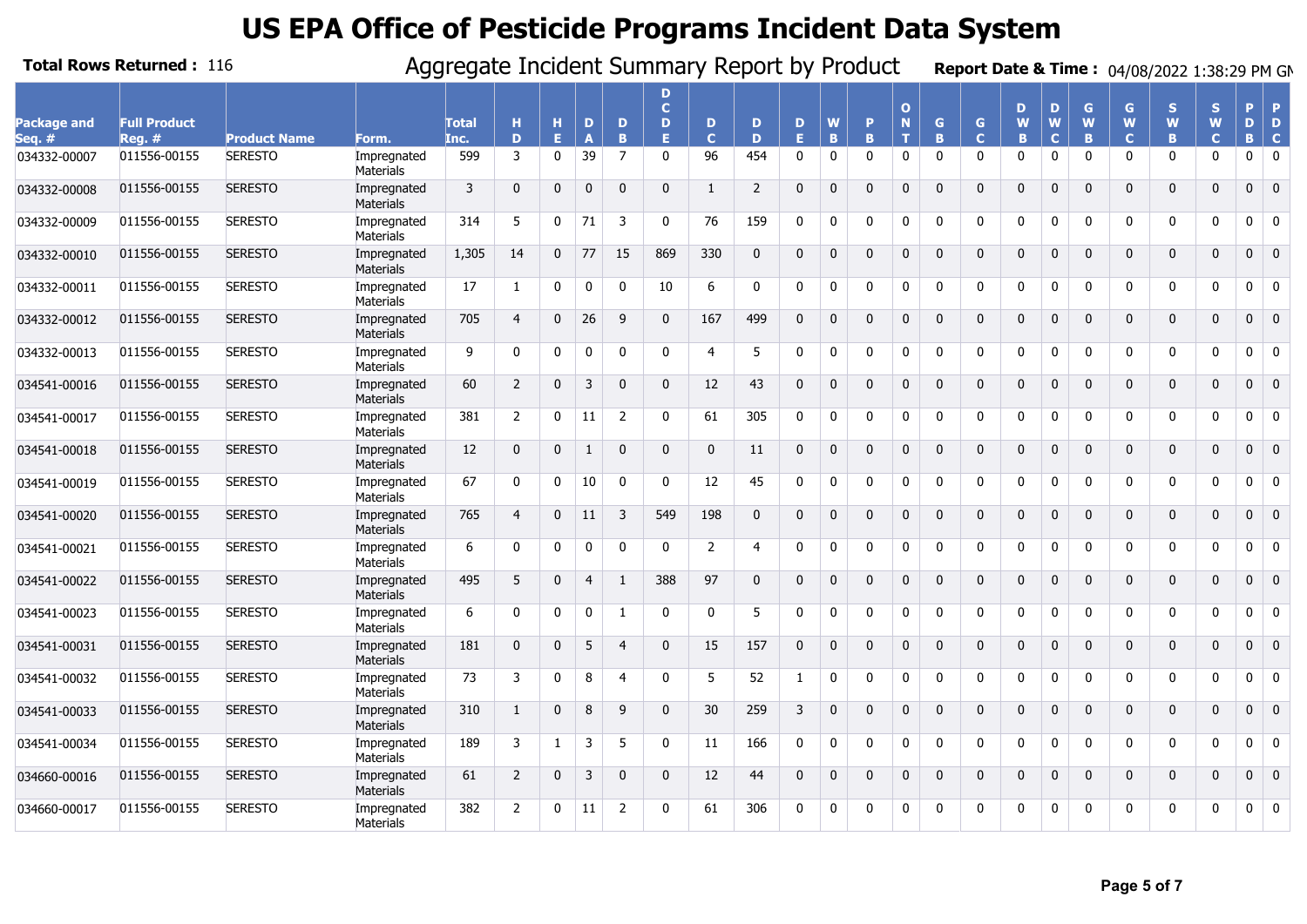|                       | <b>Total Rows Returned: 116</b> |                     |                                 | Aggregate Incident Summary Report by Product |                |              |                |                |                              |                  |                |              |              |              |                                  |              |                              |              |                       |              |                        | Report Date & Time: 04/08/2022 1:38:29 PM GM |                        |              |                               |
|-----------------------|---------------------------------|---------------------|---------------------------------|----------------------------------------------|----------------|--------------|----------------|----------------|------------------------------|------------------|----------------|--------------|--------------|--------------|----------------------------------|--------------|------------------------------|--------------|-----------------------|--------------|------------------------|----------------------------------------------|------------------------|--------------|-------------------------------|
| Package and<br>Sea. # | <b>Full Product</b><br>$Req.$ # | <b>Product Name</b> | Form.                           | <b>Total</b><br>Inc.                         | н<br>D         | н<br>Е       | D              | D<br>B         | D<br>$\mathbf{C}$<br>D<br>F. | D<br>$\mathbf C$ | D<br>D         | D<br>E.      | W<br>B       | P<br>B.      | $\mathbf{o}$<br>$\mathbf N$<br>т | G<br>B       | $\mathsf{G}$<br>$\mathbf{C}$ | D<br>W<br>B  | D<br>W<br>$\mathbf C$ | G<br>W<br>B  | G<br>W<br>$\mathbf{C}$ | S<br>W<br>B                                  | S<br>W<br>$\mathbf{C}$ | Þ<br>D<br>B. | <b>P</b><br>D<br>$\mathbf{C}$ |
| 034332-00007          | 011556-00155                    | <b>SERESTO</b>      | Impregnated<br><b>Materials</b> | 599                                          | $\overline{3}$ | $\mathbf 0$  | 39             | $\overline{7}$ | $\mathbf{0}$                 | 96               | 454            | $\mathbf{0}$ | $\mathbf 0$  | $\mathbf{0}$ | $\mathbf 0$                      | $\mathbf{0}$ | $\mathbf 0$                  | $\mathbf{0}$ | $\mathbf{0}$          | $\mathbf{0}$ | $\mathbf{0}$           | 0                                            | $\mathbf{0}$           | 0            | $\overline{\mathbf{0}}$       |
| 034332-00008          | 011556-00155                    | <b>SERESTO</b>      | Impregnated<br>Materials        | 3                                            | $\mathbf 0$    | $\mathbf{0}$ | $\mathbf{0}$   | $\mathbf{0}$   | $\Omega$                     | $\mathbf{1}$     | 2              | $\Omega$     | $\Omega$     | $\Omega$     | $\mathbf{0}$                     | $\Omega$     | $\mathbf 0$                  | $\Omega$     | $\Omega$              | $\Omega$     | $\mathbf{0}$           | $\mathbf{0}$                                 | $\mathbf{0}$           | $\mathbf{0}$ | $\overline{0}$                |
| 034332-00009          | 011556-00155                    | <b>SERESTO</b>      | Impregnated<br>Materials        | 314                                          | 5              | 0            | 71             | 3              | <sup>n</sup>                 | 76               | 159            | 0            | $\mathbf 0$  | 0            | 0                                | $\Omega$     | 0                            | $\Omega$     | $\Omega$              | $\Omega$     | 0                      | 0                                            | 0                      | 0            | $\overline{\mathbf{0}}$       |
| 034332-00010          | 011556-00155                    | <b>SERESTO</b>      | Impregnated<br><b>Materials</b> | 1,305                                        | 14             | $\mathbf{0}$ | 77             | 15             | 869                          | 330              | $\mathbf{0}$   | $\Omega$     | $\Omega$     | $\Omega$     | $\mathbf{0}$                     | $\Omega$     | $\mathbf{0}$                 | $\Omega$     | $\Omega$              | $\Omega$     | $\mathbf{0}$           | $\mathbf{0}$                                 | $\mathbf{0}$           | $\mathbf{0}$ | $\overline{0}$                |
| 034332-00011          | 011556-00155                    | <b>SERESTO</b>      | Impregnated<br>Materials        | 17                                           | 1              | 0            | $\Omega$       | $\Omega$       | 10                           | 6                | 0              | $\Omega$     | $\mathbf 0$  | $\mathbf{0}$ | 0                                | $\mathbf{0}$ | 0                            | $\mathbf{0}$ | $\mathbf 0$           | $\Omega$     | 0                      | 0                                            | $\mathbf{0}$           | 0            | $\overline{\mathbf{0}}$       |
| 034332-00012          | 011556-00155                    | <b>SERESTO</b>      | Impregnated<br><b>Materials</b> | 705                                          | $\overline{4}$ | $\mathbf{0}$ | 26             | 9              | $\Omega$                     | 167              | 499            | $\Omega$     | $\mathbf{0}$ | $\Omega$     | $\mathbf 0$                      | $\mathbf{0}$ | $\mathbf 0$                  | $\mathbf{0}$ | $\Omega$              | $\Omega$     | $\mathbf 0$            | $\mathbf 0$                                  | $\mathbf 0$            | $\mathbf 0$  | $\overline{0}$                |
| 034332-00013          | 011556-00155                    | <b>SERESTO</b>      | Impregnated<br>Materials        | 9                                            | 0              | 0            | $\Omega$       | $\Omega$       | $\Omega$                     | 4                | 5              | $\Omega$     | $\mathbf 0$  | $\mathbf{0}$ | 0                                | $\mathbf{0}$ | 0                            | $\mathbf{0}$ | $\mathbf 0$           | $\Omega$     | 0                      | 0                                            | 0                      | 0            | $\overline{\mathbf{0}}$       |
| 034541-00016          | 011556-00155                    | <b>SERESTO</b>      | Impregnated<br>Materials        | 60                                           | $\overline{2}$ | $\mathbf 0$  | 3              | $\mathbf{0}$   | $\mathbf{0}$                 | 12               | 43             | $\Omega$     | $\mathbf{0}$ | $\mathbf{0}$ | $\mathbf 0$                      | $\mathbf{0}$ | $\mathbf{0}$                 | $\mathbf{0}$ | $\mathbf{0}$          | $\mathbf{0}$ | $\mathbf 0$            | $\mathbf 0$                                  | $\mathbf 0$            | $\mathbf{0}$ | $\overline{\mathbf{0}}$       |
| 034541-00017          | 011556-00155                    | <b>SERESTO</b>      | Impregnated<br>Materials        | 381                                          | $\overline{2}$ | 0            | 11             | 2              | $\Omega$                     | 61               | 305            | $\Omega$     | $\Omega$     | $\Omega$     | $\Omega$                         | $\Omega$     | 0                            | $\Omega$     | $\Omega$              | $\Omega$     | 0                      | 0                                            | $\Omega$               | 0            | $\overline{0}$                |
| 034541-00018          | 011556-00155                    | <b>SERESTO</b>      | Impregnated<br>Materials        | 12                                           | $\mathbf 0$    | $\mathbf{0}$ | $\mathbf{1}$   | $\Omega$       | $\Omega$                     | $\mathbf 0$      | 11             | $\Omega$     | $\Omega$     | $\mathbf{0}$ | 0                                | $\mathbf{0}$ | $\mathbf{0}$                 | $\Omega$     | $\Omega$              | $\Omega$     | $\mathbf{0}$           | $\mathbf 0$                                  | 0                      | $\mathbf{0}$ | $\overline{0}$                |
| 034541-00019          | 011556-00155                    | <b>SERESTO</b>      | Impregnated<br>Materials        | 67                                           | $\mathbf{0}$   | $\mathbf 0$  | 10             | $\mathbf 0$    | $\Omega$                     | 12               | 45             | $\Omega$     | 0            | $\Omega$     | 0                                | $\Omega$     | 0                            | $\Omega$     | $\Omega$              | $\Omega$     | $\mathbf{0}$           | 0                                            | 0                      | 0            | $\overline{0}$                |
| 034541-00020          | 011556-00155                    | <b>SERESTO</b>      | Impregnated<br><b>Materials</b> | 765                                          | $\overline{4}$ | $\mathbf{0}$ | 11             | 3              | 549                          | 198              | $\mathbf 0$    | $\mathbf 0$  | $\mathbf{0}$ | $\mathbf{0}$ | 0                                | $\mathbf{0}$ | $\mathbf 0$                  | $\mathbf 0$  | $\mathbf{0}$          | $\Omega$     | 0                      | $\mathbf 0$                                  | 0                      | $\mathbf{0}$ | $\overline{\mathbf{0}}$       |
| 034541-00021          | 011556-00155                    | <b>SERESTO</b>      | Impregnated<br>Materials        | 6                                            | 0              | $\mathbf 0$  | $\mathbf{0}$   | $\mathbf 0$    | $\Omega$                     | $\overline{2}$   | $\overline{4}$ | 0            | $\mathbf 0$  | 0            | 0                                | 0            | 0                            | 0            | 0                     | $\mathbf 0$  | 0                      | 0                                            | 0                      | 0            | $\overline{\mathbf{0}}$       |
| 034541-00022          | 011556-00155                    | <b>SERESTO</b>      | Impregnated<br>Materials        | 495                                          | 5              | $\Omega$     | $\overline{4}$ | $\mathbf{1}$   | 388                          | 97               | $\mathbf 0$    | $\Omega$     | $\Omega$     | $\mathbf 0$  | $\mathbf 0$                      | $\mathbf 0$  | $\mathbf{0}$                 | $\mathbf 0$  | $\Omega$              | $\Omega$     | 0                      | $\mathbf 0$                                  | $\mathbf 0$            | $\mathbf{0}$ | $\overline{0}$                |
| 034541-00023          | 011556-00155                    | <b>SERESTO</b>      | Impregnated<br>Materials        | 6                                            | $\mathbf{0}$   | $\mathbf{0}$ | $\mathbf{0}$   | 1              | $\mathbf{0}$                 | 0                | 5              | $\Omega$     | 0            | $\mathbf{0}$ | 0                                | $\mathbf{0}$ | 0                            | $\mathbf{0}$ | $\Omega$              | $\Omega$     | 0                      | 0                                            | $\mathbf{0}$           | 0            | $\overline{0}$                |
| 034541-00031          | 011556-00155                    | <b>SERESTO</b>      | Impregnated<br>Materials        | 181                                          | $\mathbf{0}$   | $\Omega$     | 5              | $\overline{4}$ | $\Omega$                     | 15               | 157            | $\Omega$     | $\Omega$     | $\Omega$     | $\mathbf{0}$                     | $\Omega$     | $\mathbf{0}$                 | $\Omega$     | $\Omega$              | $\Omega$     | $\mathbf{0}$           | $\mathbf{0}$                                 | $\mathbf{0}$           | $\mathbf{0}$ | $\overline{0}$                |
| 034541-00032          | 011556-00155                    | <b>SERESTO</b>      | Impregnated<br>Materials        | 73                                           | 3              | $\mathbf{0}$ | 8              | 4              | $\Omega$                     | 5                | 52             | $\mathbf{1}$ | $\mathbf 0$  | $\mathbf{0}$ | $\mathbf 0$                      | $\mathbf{0}$ | 0                            | $\Omega$     | $\Omega$              | $\Omega$     | $\mathbf{0}$           | 0                                            | $\mathbf{0}$           | 0            | $\overline{\mathbf{0}}$       |
| 034541-00033          | 011556-00155                    | <b>SERESTO</b>      | Impregnated<br>Materials        | 310                                          | $\mathbf{1}$   | $\mathbf{0}$ | 8              | 9              | $\Omega$                     | 30               | 259            | 3            | $\Omega$     | $\Omega$     | 0                                | $\mathbf{0}$ | $\mathbf 0$                  | $\Omega$     | $\Omega$              | $\Omega$     | 0                      | $\mathbf 0$                                  | 0                      | $\mathbf{0}$ | $\overline{\mathbf{0}}$       |
| 034541-00034          | 011556-00155                    | <b>SERESTO</b>      | Impregnated<br>Materials        | 189                                          | 3              | 1            | 3              | 5              | $\Omega$                     | 11               | 166            | $\mathbf 0$  | $\mathbf 0$  | $\mathbf{0}$ | 0                                | $\Omega$     | 0                            | $\Omega$     | 0                     | 0            | 0                      | 0                                            | 0                      | 0            | $\mathbf 0$                   |
| 034660-00016          | 011556-00155                    | <b>SERESTO</b>      | Impregnated<br><b>Materials</b> | 61                                           | $\overline{2}$ | $\mathbf 0$  | 3              | $\Omega$       | $\mathbf{0}$                 | 12               | 44             | $\mathbf 0$  | $\mathbf{0}$ | $\mathbf{0}$ | 0                                | $\mathbf{0}$ | $\mathbf 0$                  | $\mathbf{0}$ | $\Omega$              | $\Omega$     | $\mathbf{0}$           | 0                                            | 0                      | $\mathbf 0$  |                               |
| 034660-00017          | 011556-00155                    | <b>SERESTO</b>      | Impregnated<br>Materials        | 382                                          | $\overline{2}$ | $\Omega$     | 11             | 2              | n                            | 61               | 306            | $\Omega$     | $\Omega$     | <sup>0</sup> | 0                                | $\Omega$     | 0                            | $\Omega$     | $\Omega$              | $\Omega$     | 0                      | 0                                            | 0                      | 0            | $\overline{0}$                |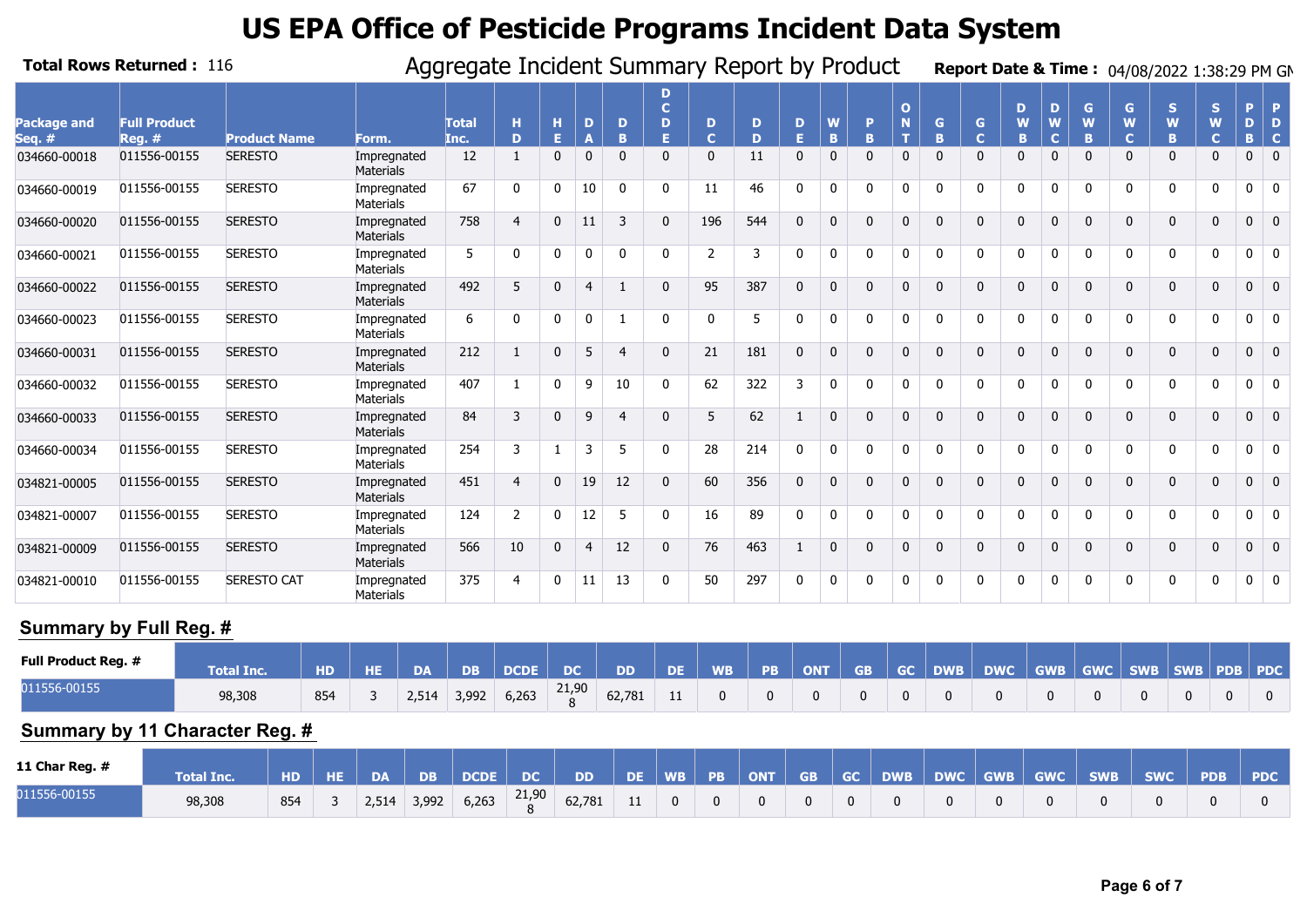|                              | <b>Total Rows Returned: 116</b> |                     | Aggregate Incident Summary Report by Product |                      |                |              |                |                |                              |                     |        |          |              |              |                    |              |                   |              |                       |             | Report Date & Time: 04/08/2022 1:38:29 PM GM |              |                         |              |                |
|------------------------------|---------------------------------|---------------------|----------------------------------------------|----------------------|----------------|--------------|----------------|----------------|------------------------------|---------------------|--------|----------|--------------|--------------|--------------------|--------------|-------------------|--------------|-----------------------|-------------|----------------------------------------------|--------------|-------------------------|--------------|----------------|
| <b>Package and</b><br>Seq. # | <b>Full Product</b><br>$Req.$ # | <b>Product Name</b> | Form.                                        | <b>Total</b><br>Inc. | н<br>D         | н<br>F       | D              | D<br>R         | D<br>$\mathbf{C}$<br>D<br>F. | D<br>$\overline{C}$ | D<br>D | D<br>F.  | <b>B</b>     | D<br>R       | $\mathbf{o}$<br>т. | G<br>R       | G<br>$\mathbf{C}$ | D<br>W<br>B. | D<br>W<br>$\mathbf C$ | G<br>W<br>B | G<br>W<br>Ċ                                  | S<br>W<br>B. | S.<br>W<br>$\mathbf{C}$ | D<br>R.      | $\mathbf C$    |
| 034660-00018                 | 011556-00155                    | <b>SERESTO</b>      | Impregnated<br><b>Materials</b>              | 12                   | $\mathbf{1}$   | $\mathbf{0}$ | $\mathbf 0$    | $\Omega$       | 0                            | $\mathbf{0}$        | 11     |          | $\mathbf{0}$ | $\Omega$     | $\mathbf{0}$       | $\Omega$     | $\mathbf{0}$      | $\Omega$     | $\Omega$              |             | O.                                           | $\mathbf{0}$ | 0                       | 0            | $\mathbf{0}$   |
| 034660-00019                 | 011556-00155                    | <b>SERESTO</b>      | Impregnated<br><b>Materials</b>              | 67                   | 0              | $\Omega$     | 10             | $\mathbf{0}$   | $\Omega$                     | 11                  | 46     |          | $\mathbf 0$  | $\Omega$     | $\mathbf 0$        | $\Omega$     | 0                 | $\Omega$     | $\Omega$              | $\Omega$    | O.                                           | 0            | 0                       | 0            | $\mathbf{0}$   |
| 034660-00020                 | 011556-00155                    | <b>SERESTO</b>      | Impregnated<br>Materials                     | 758                  | $\overline{4}$ | $\Omega$     | 11             | 3              | $\mathbf{0}$                 | 196                 | 544    | $\Omega$ | $\Omega$     | $\Omega$     | $\mathbf{0}$       | $\mathbf{0}$ | $\mathbf{0}$      | $\mathbf{0}$ | $\Omega$              | $\Omega$    | $\mathbf{0}$                                 | $\mathbf{0}$ | $\mathbf{0}$            | 0            | $\mathbf{0}$   |
| 034660-00021                 | 011556-00155                    | <b>SERESTO</b>      | Impregnated<br><b>Materials</b>              | 5                    | $\mathbf 0$    | $\Omega$     | $\mathbf{0}$   | $\Omega$       |                              | 2                   | 3      |          | $\mathbf 0$  | $\Omega$     | 0                  | $\Omega$     | $\mathbf 0$       | $\Omega$     | $\Omega$              | $\Omega$    |                                              | 0            | 0                       | 0            | $\Omega$       |
| 034660-00022                 | 011556-00155                    | <b>SERESTO</b>      | Impregnated<br><b>Materials</b>              | 492                  | 5              | $\mathbf{0}$ | 4              |                | $\Omega$                     | 95                  | 387    |          | $\Omega$     | $\Omega$     | $\mathbf{0}$       | $\Omega$     | $\mathbf{0}$      | $\Omega$     | $\Omega$              | $\Omega$    | 0                                            | $\mathbf{0}$ | 0                       | 0            | $\overline{0}$ |
| 034660-00023                 | 011556-00155                    | <b>SERESTO</b>      | Impregnated<br><b>Materials</b>              | 6                    | 0              | 0            | $\mathbf{0}$   |                | 0                            | 0                   | 5      |          | $\mathbf 0$  | $\Omega$     | 0                  | $\Omega$     | 0                 | $\Omega$     | $\Omega$              | $\Omega$    | 0                                            | 0            | 0                       | 0            | 0              |
| 034660-00031                 | 011556-00155                    | <b>SERESTO</b>      | Impregnated<br>Materials                     | 212                  | $\mathbf{1}$   | $\mathbf{0}$ | 5              | $\overline{4}$ | $\Omega$                     | 21                  | 181    | $\Omega$ | $\Omega$     | $\Omega$     | $\mathbf{0}$       | $\mathbf{0}$ | $\mathbf 0$       | $\Omega$     | $\Omega$              | $\Omega$    | $\mathbf{0}$                                 | $\mathbf 0$  | $\mathbf{0}$            | 0            | $\overline{0}$ |
| 034660-00032                 | 011556-00155                    | <b>SERESTO</b>      | Impregnated<br><b>Materials</b>              | 407                  |                | $\mathbf{0}$ | 9              | 10             |                              | 62                  | 322    | 3        | $\mathbf 0$  | $\Omega$     | 0                  | $\Omega$     | $\mathbf 0$       | $\Omega$     | $\Omega$              | $\Omega$    |                                              | 0            | $\Omega$                | 0            | $\mathbf{0}$   |
| 034660-00033                 | 011556-00155                    | <b>SERESTO</b>      | Impregnated<br>Materials                     | 84                   | 3              | $\Omega$     | 9              | $\overline{a}$ | 0                            | 5                   | 62     |          | $\Omega$     | $\Omega$     | $\mathbf{0}$       | $\Omega$     | $\mathbf 0$       | $\Omega$     | $\Omega$              | $\Omega$    | 0                                            | $\mathbf{0}$ | 0                       | 0            | $\overline{0}$ |
| 034660-00034                 | 011556-00155                    | <b>SERESTO</b>      | Impregnated<br><b>Materials</b>              | 254                  | 3              |              | 3              | 5              | $\Omega$                     | 28                  | 214    | 0        | $\mathbf{0}$ | $\mathbf{0}$ | $\mathbf{0}$       | $\mathbf{0}$ | $\mathbf{0}$      | $\Omega$     | $\mathbf 0$           | $\Omega$    | 0                                            | $\mathbf{0}$ | $\mathbf{0}$            | 0            | $\overline{0}$ |
| 034821-00005                 | 011556-00155                    | <b>SERESTO</b>      | Impregnated<br>Materials                     | 451                  | $\overline{4}$ | $\mathbf{0}$ | 19             | 12             | $\mathbf{0}$                 | 60                  | 356    | $\Omega$ | $\Omega$     | $\Omega$     | $\mathbf{0}$       | $\mathbf{0}$ | $\mathbf 0$       | $\Omega$     | $\Omega$              | $\Omega$    | $\Omega$                                     | $\mathbf 0$  | $\mathbf{0}$            | 0            | $\overline{0}$ |
| 034821-00007                 | 011556-00155                    | <b>SERESTO</b>      | Impregnated<br><b>Materials</b>              | 124                  | $\overline{2}$ | $\mathbf{0}$ | 12             | 5              | $\Omega$                     | 16                  | 89     |          | $\mathbf 0$  | $\Omega$     | 0                  | $\Omega$     | $\mathbf{0}$      | $\Omega$     | $\Omega$              | $\Omega$    |                                              | $\mathbf{0}$ | $\Omega$                | 0            | $\mathbf{0}$   |
| 034821-00009                 | 011556-00155                    | <b>SERESTO</b>      | Impregnated<br>Materials                     | 566                  | 10             | $\mathbf 0$  | $\overline{4}$ | 12             | $\mathbf{0}$                 | 76                  | 463    |          | $\mathbf{0}$ | $\Omega$     | 0                  | $\mathbf 0$  | $\mathbf 0$       | $\mathbf{0}$ | $\Omega$              | $\Omega$    | $\mathbf{0}$                                 | $\mathbf 0$  | $\mathbf{0}$            | $\mathbf{0}$ | $\overline{0}$ |
| 034821-00010                 | 011556-00155                    | <b>SERESTO CAT</b>  | Impregnated<br><b>Materials</b>              | 375                  | 4              | $\Omega$     |                | 13             | 0                            | 50                  | 297    |          | 0            |              | 0                  |              | 0                 | $\Omega$     | $\Omega$              |             |                                              | 0            | <sup>0</sup>            | 0            | $\mathbf{0}$   |

#### **Summary by Full Reg. #**

| <b>Full Product Reg. #</b> | <b>Total Inc.</b> | <b>HD</b> | <b>HE</b> | <b>DA</b> | <b>DB</b> | <b>DCDE</b> | <b>DC</b> | <b>DD</b> | DE. | <b>WB</b> | <b>PB</b> | <b>ONT</b> | GB GC | DWB | <b>DWC</b> | GWB GWC SWB SWB PDB PDC |  |  |
|----------------------------|-------------------|-----------|-----------|-----------|-----------|-------------|-----------|-----------|-----|-----------|-----------|------------|-------|-----|------------|-------------------------|--|--|
| 011556-00155               | 98,308            | 854       |           | 2,514     | 3,992     | 6,263       | 21,90     | 62,781    |     |           |           |            |       |     |            |                         |  |  |

#### **Summary by 11 Character Reg. #**

| 11 Char Reg. $#$ | <b>Total Inc.</b> | H <sub>D</sub> | HE DA | DB    | DCDE DC |                         | <b>NDD</b> | N DE N |                |          | WB PB ONT      |          | GB GC DWB |  |  | DWC GWB GWC SWB SWC PDB | <b>PDC</b> |
|------------------|-------------------|----------------|-------|-------|---------|-------------------------|------------|--------|----------------|----------|----------------|----------|-----------|--|--|-------------------------|------------|
| 011556-00155     | 98,308            | 854            | 2,514 | 3,992 | 6,263   | 21,90<br>$\overline{a}$ | 62,781 11  |        | $\overline{0}$ | $\Omega$ | $\overline{0}$ | $\Omega$ |           |  |  |                         |            |